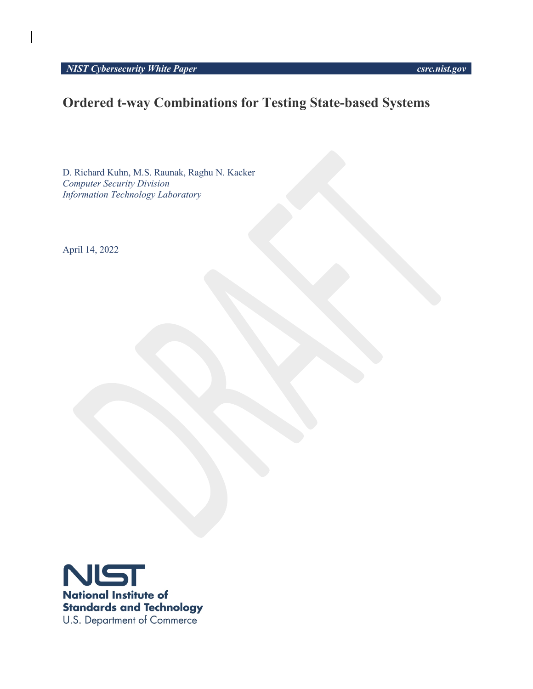*NIST Cybersecurity White Paper csrc.nist.gov*

# **Ordered t-way Combinations for Testing State-based Systems**

D. Richard Kuhn, M.S. Raunak, Raghu N. Kacker *Computer Security Division Information Technology Laboratory*

April 14, 2022

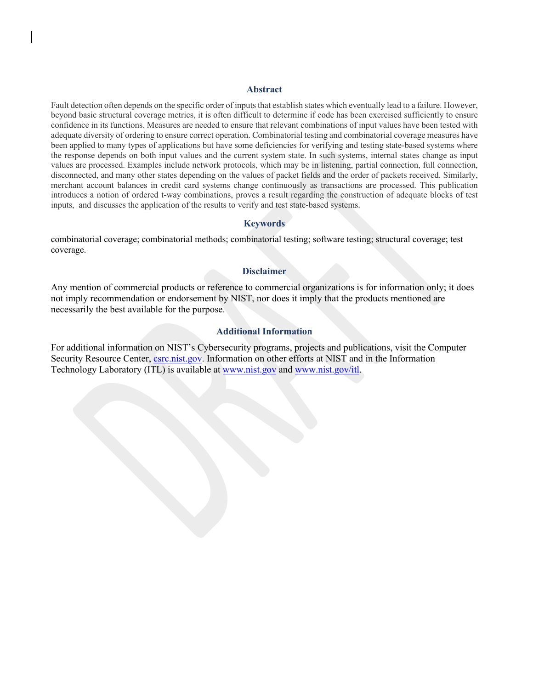#### **Abstract**

Fault detection often depends on the specific order of inputs that establish states which eventually lead to a failure. However, beyond basic structural coverage metrics, it is often difficult to determine if code has been exercised sufficiently to ensure confidence in its functions. Measures are needed to ensure that relevant combinations of input values have been tested with adequate diversity of ordering to ensure correct operation. Combinatorial testing and combinatorial coverage measures have been applied to many types of applications but have some deficiencies for verifying and testing state-based systems where the response depends on both input values and the current system state. In such systems, internal states change as input values are processed. Examples include network protocols, which may be in listening, partial connection, full connection, disconnected, and many other states depending on the values of packet fields and the order of packets received. Similarly, merchant account balances in credit card systems change continuously as transactions are processed. This publication introduces a notion of ordered t-way combinations, proves a result regarding the construction of adequate blocks of test inputs, and discusses the application of the results to verify and test state-based systems.

#### **Keywords**

combinatorial coverage; combinatorial methods; combinatorial testing; software testing; structural coverage; test coverage.

#### **Disclaimer**

Any mention of commercial products or reference to commercial organizations is for information only; it does not imply recommendation or endorsement by NIST, nor does it imply that the products mentioned are necessarily the best available for the purpose.

# **Additional Information**

For additional information on NIST's Cybersecurity programs, projects and publications, visit the Computer Security Resource Center, *csrc.nist.gov*. Information on other efforts at NIST and in the Information Technology Laboratory (ITL) is available at www.nist.gov and www.nist.gov/itl.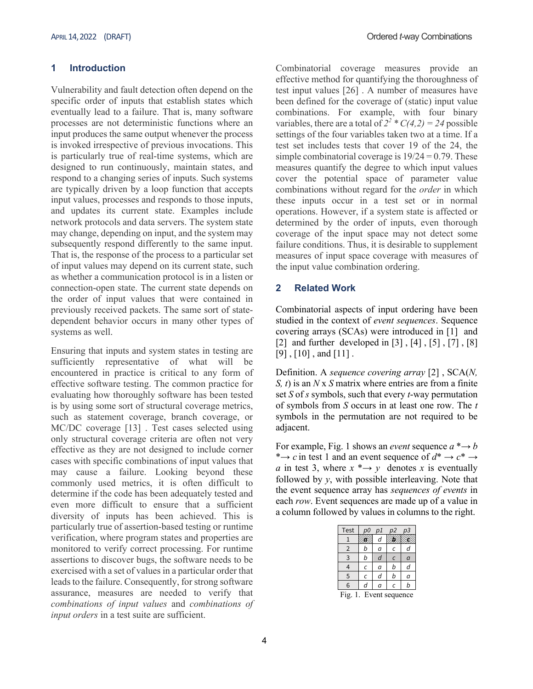## **1 Introduction**

Vulnerability and fault detection often depend on the specific order of inputs that establish states which eventually lead to a failure. That is, many software processes are not deterministic functions where an input produces the same output whenever the process is invoked irrespective of previous invocations. This is particularly true of real-time systems, which are designed to run continuously, maintain states, and respond to a changing series of inputs. Such systems are typically driven by a loop function that accepts input values, processes and responds to those inputs, and updates its current state. Examples include network protocols and data servers. The system state may change, depending on input, and the system may subsequently respond differently to the same input. That is, the response of the process to a particular set of input values may depend on its current state, such as whether a communication protocol is in a listen or connection-open state. The current state depends on the order of input values that were contained in previously received packets. The same sort of statedependent behavior occurs in many other types of systems as well.

Ensuring that inputs and system states in testing are sufficiently representative of what will be encountered in practice is critical to any form of effective software testing. The common practice for evaluating how thoroughly software has been tested is by using some sort of structural coverage metrics, such as statement coverage, branch coverage, or MC/DC coverage [13] . Test cases selected using only structural coverage criteria are often not very effective as they are not designed to include corner cases with specific combinations of input values that may cause a failure. Looking beyond these commonly used metrics, it is often difficult to determine if the code has been adequately tested and even more difficult to ensure that a sufficient diversity of inputs has been achieved. This is particularly true of assertion-based testing or runtime verification, where program states and properties are monitored to verify correct processing. For runtime assertions to discover bugs, the software needs to be exercised with a set of values in a particular order that leads to the failure. Consequently, for strong software assurance, measures are needed to verify that *combinations of input values* and *combinations of input orders* in a test suite are sufficient.

Combinatorial coverage measures provide an effective method for quantifying the thoroughness of test input values [26] . A number of measures have been defined for the coverage of (static) input value combinations. For example, with four binary variables, there are a total of  $2^2 * C(4,2) = 24$  possible settings of the four variables taken two at a time. If a test set includes tests that cover 19 of the 24, the simple combinatorial coverage is  $19/24 = 0.79$ . These measures quantify the degree to which input values cover the potential space of parameter value combinations without regard for the *order* in which these inputs occur in a test set or in normal operations. However, if a system state is affected or determined by the order of inputs, even thorough coverage of the input space may not detect some failure conditions. Thus, it is desirable to supplement measures of input space coverage with measures of the input value combination ordering.

## **2 Related Work**

Combinatorial aspects of input ordering have been studied in the context of *event sequences*. Sequence covering arrays (SCAs) were introduced in [1] and [2] and further developed in [3] , [4] , [5] , [7] , [8]  $[9]$ ,  $[10]$ , and  $[11]$ .

Definition. A *sequence covering array* [2] , SCA(*N, S, t*) is an *N* x *S* matrix where entries are from a finite set *S* of *s* symbols, such that every *t*-way permutation of symbols from *S* occurs in at least one row. The *t* symbols in the permutation are not required to be adjacent.

For example, Fig. 1 shows an *event* sequence  $a^* \rightarrow b$ \* $\rightarrow$  *c* in test 1 and an event sequence of  $d^* \rightarrow c^* \rightarrow$ *a* in test 3, where  $x \rightarrow y$  denotes *x* is eventually followed by *y*, with possible interleaving. Note that the event sequence array has *sequences of events* in each *row*. Event sequences are made up of a value in a column followed by values in columns to the right.

| Test           |   | p1 | p2 | оЗ |  |  |
|----------------|---|----|----|----|--|--|
|                |   | d  |    |    |  |  |
| $\overline{2}$ | n | a  |    |    |  |  |
| 3              | b | d  | r  | a  |  |  |
| 4              | C | a  | b  | d  |  |  |
| 5              | C | d  | b  | a  |  |  |
| 6              | d | a  | Ċ  | b  |  |  |
| m:             |   |    |    |    |  |  |

Fig. 1. Event sequence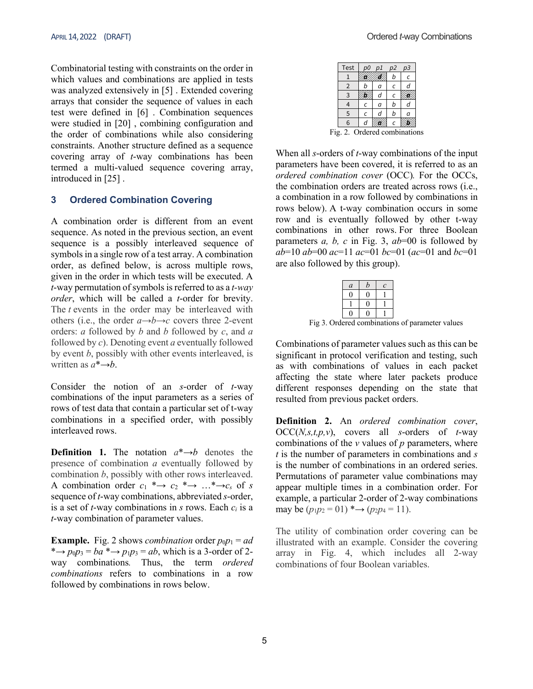Combinatorial testing with constraints on the order in which values and combinations are applied in tests was analyzed extensively in [5] . Extended covering arrays that consider the sequence of values in each test were defined in [6] . Combination sequences were studied in [20] , combining configuration and the order of combinations while also considering constraints. Another structure defined as a sequence covering array of *t*-way combinations has been termed a multi-valued sequence covering array, introduced in [25] .

#### **3 Ordered Combination Covering**

A combination order is different from an event sequence. As noted in the previous section, an event sequence is a possibly interleaved sequence of symbols in a single row of a test array. A combination order, as defined below, is across multiple rows, given in the order in which tests will be executed. A *t*-way permutation of symbols is referred to as a *t-way order*, which will be called a *t*-order for brevity. The *t* events in the order may be interleaved with others (i.e., the order  $a \rightarrow b \rightarrow c$  covers three 2-event orders: *a* followed by *b* and *b* followed by *c*, and *a*  followed by *c*). Denoting event *a* eventually followed by event *b*, possibly with other events interleaved, is written as  $a^*{\rightarrow}b$ .

Consider the notion of an *s*-order of *t*-way combinations of the input parameters as a series of rows of test data that contain a particular set of t-way combinations in a specified order, with possibly interleaved rows.

**Definition 1.** The notation  $a^* \rightarrow b$  denotes the presence of combination *a* eventually followed by combination *b*, possibly with other rows interleaved. A combination order  $c_1 \rightarrow c_2 \rightarrow \cdots \rightarrow c_s$  of *s* sequence of *t*-way combinations, abbreviated *s*-order, is a set of *t*-way combinations in *s* rows. Each *ci* is a *t*-way combination of parameter values.

**Example.** Fig. 2 shows *combination* order  $p_0p_1 = ad$ \* $\rightarrow$  *p*<sub>0</sub> $p_3 = ba$  \* $\rightarrow$  *p*<sub>1</sub> $p_3 = ab$ , which is a 3-order of 2way combinations*.* Thus, the term *ordered combinations* refers to combinations in a row followed by combinations in rows below.

| Test                         | p0 | p1 | p2 | p3 |  |  |  |
|------------------------------|----|----|----|----|--|--|--|
|                              |    |    | b  |    |  |  |  |
| 2                            |    | a  | C  | d  |  |  |  |
| З                            |    | d  | C  |    |  |  |  |
|                              | C  | a  | b  | а  |  |  |  |
| 5                            | C  | d  | b  | a  |  |  |  |
| 6                            |    |    |    |    |  |  |  |
| Fig. 2. Ordered combinations |    |    |    |    |  |  |  |

When all *s*-orders of *t*-way combinations of the input parameters have been covered, it is referred to as an *ordered combination cover* (OCC)*.* For the OCCs, the combination orders are treated across rows (i.e., a combination in a row followed by combinations in rows below). A t-way combination occurs in some row and is eventually followed by other t-way combinations in other rows. For three Boolean parameters *a, b, c* in Fig. 3, *ab*=00 is followed by *ab*=10 *ab*=00 *ac*=11 *ac*=01 *bc*=01 (*ac*=01 and *bc*=01 are also followed by this group).

|              | a <sub>1</sub> | $\boldsymbol{h}$ |   |     |
|--------------|----------------|------------------|---|-----|
|              |                |                  |   |     |
|              |                |                  |   |     |
|              |                |                  |   |     |
| $-2$<br>0.11 |                | ٠<br>---------   | ٠ | --- |

Fig 3. Ordered combinations of parameter values

Combinations of parameter values such as this can be significant in protocol verification and testing, such as with combinations of values in each packet affecting the state where later packets produce different responses depending on the state that resulted from previous packet orders.

**Definition 2.** An *ordered combination cover*, OCC(*N,s,t,p,v*), covers all *s*-orders of *t*-way combinations of the *v* values of *p* parameters, where *t* is the number of parameters in combinations and *s* is the number of combinations in an ordered series. Permutations of parameter value combinations may appear multiple times in a combination order. For example, a particular 2-order of 2-way combinations may be  $(p_1p_2 = 01)$  \* $\rightarrow$   $(p_2p_4 = 11)$ .

The utility of combination order covering can be illustrated with an example. Consider the covering array in Fig. 4, which includes all 2-way combinations of four Boolean variables.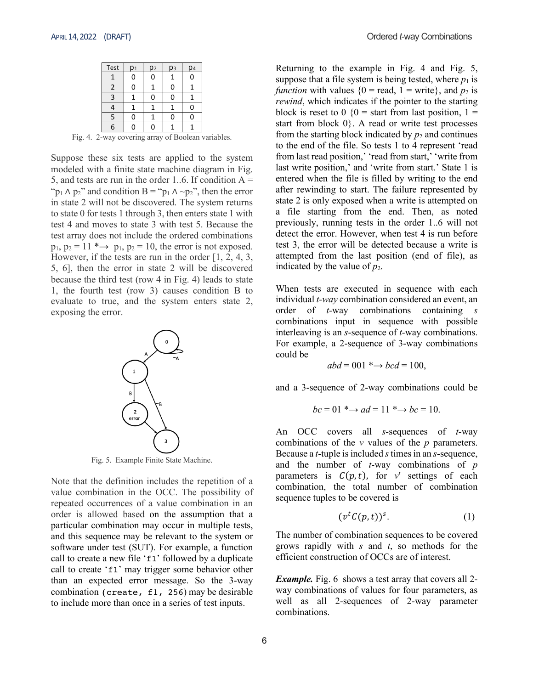| Test         | D <sub>1</sub> | p <sub>2</sub> | D <sub>3</sub> | D4 |
|--------------|----------------|----------------|----------------|----|
|              | O              |                |                |    |
| 2            | Ω              |                |                |    |
| $\mathbf{3}$ |                |                |                |    |
|              |                |                |                |    |
| 5            | n              |                |                |    |
| 6            |                |                |                |    |

Fig. 4. 2-way covering array of Boolean variables.

Suppose these six tests are applied to the system modeled with a finite state machine diagram in Fig. 5, and tests are run in the order 1..6. If condition  $A =$ " $p_1 \wedge p_2$ " and condition B = " $p_1 \wedge \neg p_2$ ", then the error in state 2 will not be discovered. The system returns to state 0 for tests 1 through 3, then enters state 1 with test 4 and moves to state 3 with test 5. Because the test array does not include the ordered combinations  $p_1$ ,  $p_2 = 11$  \* $\rightarrow$   $p_1$ ,  $p_2 = 10$ , the error is not exposed. However, if the tests are run in the order [1, 2, 4, 3, 5, 6], then the error in state 2 will be discovered because the third test (row 4 in Fig. 4) leads to state 1, the fourth test (row 3) causes condition B to evaluate to true, and the system enters state 2, exposing the error.



Fig. 5. Example Finite State Machine.

Note that the definition includes the repetition of a value combination in the OCC. The possibility of repeated occurrences of a value combination in an order is allowed based on the assumption that a particular combination may occur in multiple tests, and this sequence may be relevant to the system or software under test (SUT). For example, a function call to create a new file 'f1' followed by a duplicate call to create 'f1' may trigger some behavior other than an expected error message. So the 3-way combination (create, f1, 256) may be desirable to include more than once in a series of test inputs.

Returning to the example in Fig. 4 and Fig. 5, suppose that a file system is being tested, where  $p_1$  is *function* with values  ${0 = \text{read}, 1 = \text{write}}$ , and  $p_2$  is *rewind*, which indicates if the pointer to the starting block is reset to  $0 \{0\}$  = start from last position,  $1 =$ start from block 0}. A read or write test processes from the starting block indicated by  $p_2$  and continues to the end of the file. So tests 1 to 4 represent 'read from last read position,' 'read from start,' 'write from last write position,' and 'write from start.' State 1 is entered when the file is filled by writing to the end after rewinding to start. The failure represented by state 2 is only exposed when a write is attempted on a file starting from the end. Then, as noted previously, running tests in the order 1..6 will not detect the error. However, when test 4 is run before test 3, the error will be detected because a write is attempted from the last position (end of file), as indicated by the value of  $p_2$ .

When tests are executed in sequence with each individual *t-way* combination considered an event, an order of *t-*way combinations containing *s* combinations input in sequence with possible interleaving is an *s*-sequence of *t-*way combinations. For example, a 2-sequence of 3-way combinations could be

$$
abd = 001 \rightarrow bcd = 100,
$$

and a 3-sequence of 2-way combinations could be

$$
bc = 01 \longrightarrow ad = 11 \longrightarrow bc = 10.
$$

An OCC covers all *s-*sequences of *t*-way combinations of the *v* values of the *p* parameters. Because a *t*-tuple is included *s*times in an *s-*sequence, and the number of *t*-way combinations of *p* parameters is  $C(p,t)$ , for  $v^t$  settings of each combination, the total number of combination sequence tuples to be covered is

$$
(vtC(p,t))s.
$$
 (1)

The number of combination sequences to be covered grows rapidly with *s* and *t*, so methods for the efficient construction of OCCs are of interest.

*Example.* Fig. 6 shows a test array that covers all 2way combinations of values for four parameters, as well as all 2-sequences of 2-way parameter combinations.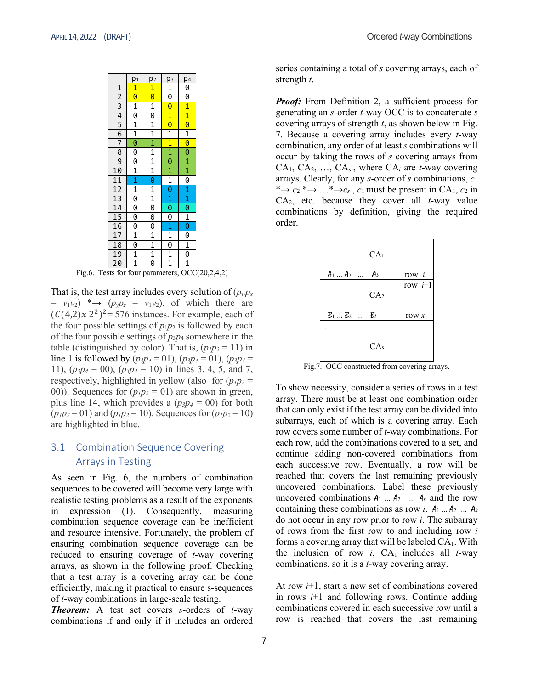|                                    | p1                      | p2                          | pз                  | p4                      |
|------------------------------------|-------------------------|-----------------------------|---------------------|-------------------------|
| $\overline{1}$                     | $\overline{1}$          | $\overline{1}$              | $\frac{1}{9}$       | $\overline{0}$          |
|                                    | $\overline{\mathbf{e}}$ | $\overline{\Theta}$         |                     | 0                       |
| $\frac{2}{3}$                      | $\overline{1}$          | $\frac{1}{9}$               | $\overline{\Theta}$ | $\overline{1}$          |
|                                    | 0                       |                             | $\overline{1}$      | $\overline{1}$          |
| $\overline{5}$                     | $\overline{1}$          | $\overline{1}$              | $\overline{\Theta}$ | $\overline{\Theta}$     |
| $\frac{6}{7}$                      | $\frac{1}{0}$           | $\frac{1}{1}$               | $\overline{1}$      | $\overline{1}$          |
|                                    |                         |                             | $\overline{1}$      | $\overline{\mathbf{e}}$ |
| $\overline{8}$                     | $\overline{\Theta}$     |                             | $\frac{1}{\Theta}$  | $\overline{\Theta}$     |
| 9                                  |                         |                             |                     |                         |
| $1\overline{0}$                    | $\frac{0}{1}$           | $\frac{1}{1}$               | $\overline{1}$      | $\frac{1}{1}$           |
| $\frac{11}{12}$<br>$\frac{13}{14}$ |                         | $\overline{\Theta}$         |                     | $\overline{\Theta}$     |
|                                    | $\frac{1}{1}$           | $\overline{1}$              |                     |                         |
|                                    | $\overline{\Theta}$     | $\frac{1}{\Theta}$          | $\frac{1}{\theta}$  | $\frac{1}{1}$           |
|                                    | $\overline{\Theta}$     |                             | $\overline{\Theta}$ |                         |
| 15                                 | 0                       | 0                           | $\overline{\Theta}$ | $\frac{1}{\Theta}$      |
| $\overline{16}$                    | 0                       | $\overline{\Theta}$         | $\overline{1}$      |                         |
| $\overline{17}$                    | $\overline{1}$          | $\overline{1}$              | $\overline{1}$      | $\overline{\Theta}$     |
| $\overline{18}$                    | $\overline{\Theta}$     |                             | 0                   |                         |
| $\frac{19}{20}$                    | $\overline{1}$          | $\frac{1}{1}$ $\frac{1}{0}$ | $\frac{1}{1}$       | $\frac{1}{\Theta}$      |
|                                    | 1                       |                             |                     | $\overline{1}$          |

Fig.6. Tests for four parameters, OCC(20,2,4,2)

That is, the test array includes every solution of  $(p_w p_x)$  $= v_1v_2$   $* \rightarrow (p_v p_z = v_1v_2)$ , of which there are  $(C(4,2)x 2^2)^2$ = 576 instances. For example, each of the four possible settings of  $p_1p_2$  is followed by each of the four possible settings of *p*3*p*<sup>4</sup> somewhere in the table (distinguished by color). That is,  $(p_1p_2 = 11)$  in line 1 is followed by  $(p_3p_4 = 01)$ ,  $(p_3p_4 = 01)$ ,  $(p_3p_4 = 01)$ 11),  $(p_3p_4 = 00)$ ,  $(p_3p_4 = 10)$  in lines 3, 4, 5, and 7, respectively, highlighted in yellow (also for  $(p_1p_2 =$ 00)). Sequences for  $(p_1p_2 = 01)$  are shown in green, plus line 14, which provides a  $(p_3p_4 = 00)$  for both  $(p_1p_2 = 01)$  and  $(p_1p_2 = 10)$ . Sequences for  $(p_1p_2 = 10)$ are highlighted in blue.

# 3.1 Combination Sequence Covering Arrays in Testing

As seen in Fig. 6, the numbers of combination sequences to be covered will become very large with realistic testing problems as a result of the exponents in expression (1). Consequently, measuring combination sequence coverage can be inefficient and resource intensive. Fortunately, the problem of ensuring combination sequence coverage can be reduced to ensuring coverage of *t*-way covering arrays, as shown in the following proof. Checking that a test array is a covering array can be done efficiently, making it practical to ensure s-sequences of *t*-way combinations in large-scale testing.

*Theorem:* A test set covers *s*-orders of *t*-way combinations if and only if it includes an ordered series containing a total of *s* covering arrays, each of strength *t*.

*Proof:* From Definition 2, a sufficient process for generating an *s*-order *t*-way OCC is to concatenate *s*  covering arrays of strength *t*, as shown below in Fig. 7. Because a covering array includes every *t*-way combination, any order of at least *s* combinations will occur by taking the rows of *s* covering arrays from CA1, CA2, …, CAs., where CA*<sup>i</sup>* are *t*-way covering arrays. Clearly, for any *s*-order of *s* combinations, *c*<sup>1</sup> \* $\rightarrow$  *c*<sub>2</sub> \* $\rightarrow$  ...\* $\rightarrow$ *c<sub>s</sub>*, *c*<sub>1</sub> must be present in CA<sub>1</sub>, *c*<sub>2</sub> in CA2, etc. because they cover all *t*-way value combinations by definition, giving the required order.



Fig.7. OCC constructed from covering arrays.

To show necessity, consider a series of rows in a test array. There must be at least one combination order that can only exist if the test array can be divided into subarrays, each of which is a covering array. Each row covers some number of *t*-way combinations. For each row, add the combinations covered to a set, and continue adding non-covered combinations from each successive row. Eventually, a row will be reached that covers the last remaining previously uncovered combinations. Label these previously uncovered combinations  $A_1$  ...  $A_2$  ...  $A_k$  and the row containing these combinations as row *i*.  $A_1 \dots A_2 \dots A_k$ do not occur in any row prior to row *i*. The subarray of rows from the first row to and including row *i* forms a covering array that will be labeled  $CA<sub>1</sub>$ . With the inclusion of row  $i$ ,  $CA<sub>1</sub>$  includes all  $t$ -way combinations, so it is a *t*-way covering array.

At row *i*+1, start a new set of combinations covered in rows *i*+1 and following rows. Continue adding combinations covered in each successive row until a row is reached that covers the last remaining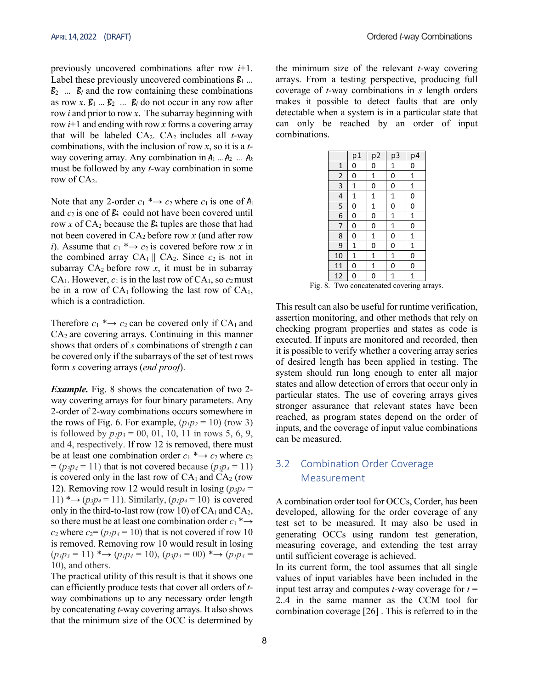previously uncovered combinations after row *i*+1. Label these previously uncovered combinations  $\mathcal{B}_1$  ...  $B_2$  ...  $B_l$  and the row containing these combinations as row  $x$ .  $B_1$  ...  $B_2$  ...  $B_l$  do not occur in any row after row *i* and prior to row *x*. The subarray beginning with row *i*+1 and ending with row *x* forms a covering array that will be labeled  $CA_2$ .  $CA_2$  includes all *t*-way combinations, with the inclusion of row *x*, so it is a *t*way covering array. Any combination in  $A_1$  ...  $A_2$  ...  $A_k$ must be followed by any *t-*way combination in some row of  $CA<sub>2</sub>$ .

Note that any 2-order  $c_1 \rightarrow c_2$  where  $c_1$  is one of  $A_i$ and  $c_2$  is one of  $\beta$ : could not have been covered until row *x* of  $CA_2$  because the  $\beta$  tuples are those that had not been covered in CA2 before row *x* (and after row *i*). Assume that  $c_1 \rightarrow c_2$  is covered before row *x* in the combined array  $CA_1 \parallel CA_2$ . Since  $c_2$  is not in subarray  $CA_2$  before row  $x$ , it must be in subarray CA<sub>1</sub>. However,  $c_1$  is in the last row of CA<sub>1</sub>, so  $c_2$  must be in a row of  $CA<sub>1</sub>$  following the last row of  $CA<sub>1</sub>$ , which is a contradiction.

Therefore  $c_1$  \* $\rightarrow$   $c_2$  can be covered only if CA<sub>1</sub> and  $CA<sub>2</sub>$  are covering arrays. Continuing in this manner shows that orders of *s* combinations of strength *t* can be covered only if the subarrays of the set of test rows form *s* covering arrays (*end proof*).

*Example.* Fig. 8 shows the concatenation of two 2 way covering arrays for four binary parameters. Any 2-order of 2-way combinations occurs somewhere in the rows of Fig. 6. For example,  $(p_1p_2 = 10)$  (row 3) is followed by  $p_1p_3 = 00$ , 01, 10, 11 in rows 5, 6, 9, and 4, respectively. If row 12 is removed, there must be at least one combination order  $c_1 \rightarrow c_2$  where  $c_2$  $= (p_3p_4 = 11)$  that is not covered because  $(p_3p_4 = 11)$ is covered only in the last row of  $CA<sub>1</sub>$  and  $CA<sub>2</sub>$  (row 12). Removing row 12 would result in losing  $(p_3p_4 =$ 11)  $* \rightarrow (p_3p_4 = 11)$ . Similarly,  $(p_1p_4 = 10)$  is covered only in the third-to-last row (row 10) of  $CA<sub>1</sub>$  and  $CA<sub>2</sub>$ , so there must be at least one combination order  $c_1^* \rightarrow$  $c_2$  where  $c_2 = (p_1p_4 = 10)$  that is not covered if row 10 is removed. Removing row 10 would result in losing  $(p_1p_3 = 11)$  \* $\rightarrow$   $(p_1p_4 = 10)$ ,  $(p_3p_4 = 00)$  \* $\rightarrow$   $(p_1p_4 =$ 10), and others.

The practical utility of this result is that it shows one can efficiently produce tests that cover all orders of *t*way combinations up to any necessary order length by concatenating *t*-way covering arrays. It also shows that the minimum size of the OCC is determined by the minimum size of the relevant *t*-way covering arrays. From a testing perspective, producing full coverage of *t*-way combinations in *s* length orders makes it possible to detect faults that are only detectable when a system is in a particular state that can only be reached by an order of input combinations.

|                 | p1           | $p\overline{2}$ | $p\overline{3}$ | $p\overline{4}$ |
|-----------------|--------------|-----------------|-----------------|-----------------|
| $\mathbf{1}$    | 0            | 0               | $\mathbf{1}$    | 0               |
| $\overline{c}$  | 0            | $\mathbf{1}$    | 0               | $\mathbf{1}$    |
| 3               | $\mathbf 1$  | 0               | 0               | $\mathbf{1}$    |
| 4               | $\mathbf 1$  | $\mathbf{1}$    | $\mathbf{1}$    | 0               |
| 5               | 0            | $\mathbf 1$     | 0               | 0               |
| 6               | 0            | 0               | $\mathbf{1}$    | $\mathbf{1}$    |
| 7               | 0            | $\mathbf{0}$    | $\mathbf{1}$    | 0               |
| 8               | 0            | $\mathbf{1}$    | $\overline{0}$  | $\mathbf{1}$    |
| 9               | $\mathbf{1}$ | 0               | 0               | $\mathbf{1}$    |
| 10              | $\mathbf 1$  | $\mathbf 1$     | $\mathbf{1}$    | 0               |
| 11              | 0            | $\mathbf 1$     | 0               | 0               |
| $\overline{12}$ | 0            | 0               | 1               | 1               |

Fig. 8. Two concatenated covering arrays.

This result can also be useful for runtime verification, assertion monitoring, and other methods that rely on checking program properties and states as code is executed. If inputs are monitored and recorded, then it is possible to verify whether a covering array series of desired length has been applied in testing. The system should run long enough to enter all major states and allow detection of errors that occur only in particular states. The use of covering arrays gives stronger assurance that relevant states have been reached, as program states depend on the order of inputs, and the coverage of input value combinations can be measured.

# 3.2 Combination Order Coverage Measurement

A combination order tool for OCCs, Corder, has been developed, allowing for the order coverage of any test set to be measured. It may also be used in generating OCCs using random test generation, measuring coverage, and extending the test array until sufficient coverage is achieved.

In its current form, the tool assumes that all single values of input variables have been included in the input test array and computes  $t$ -way coverage for  $t =$ 2..4 in the same manner as the CCM tool for combination coverage [26] . This is referred to in the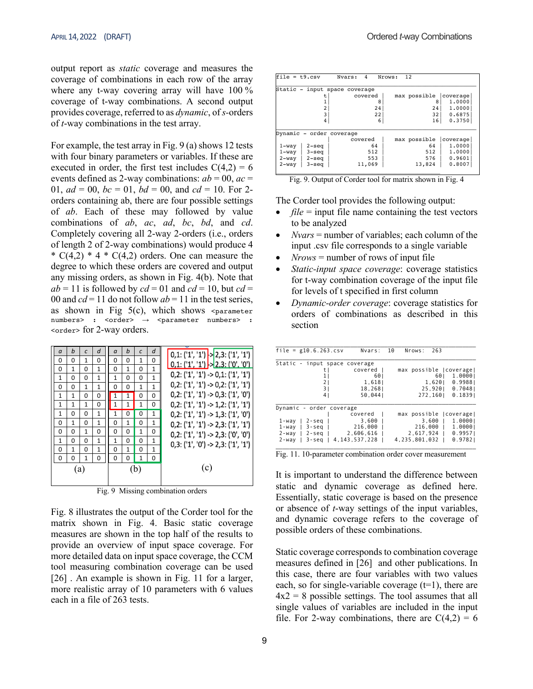output report as *static* coverage and measures the coverage of combinations in each row of the array where any t-way covering array will have 100 % coverage of t-way combinations. A second output provides coverage, referred to as *dynamic*, of *s-*orders of *t*-way combinations in the test array.

For example, the test array in Fig. 9 (a) shows 12 tests with four binary parameters or variables. If these are executed in order, the first test includes  $C(4,2) = 6$ events defined as 2-way combinations:  $ab = 00$ ,  $ac =$ 01,  $ad = 00$ ,  $bc = 01$ ,  $bd = 00$ , and  $cd = 10$ . For 2orders containing ab, there are four possible settings of *ab*. Each of these may followed by value combinations of *ab*, *ac*, *ad*, *bc*, *bd*, and *cd*. Completely covering all 2-way 2-orders (i.e., orders of length 2 of 2-way combinations) would produce 4  $* C(4,2) * 4 * C(4,2)$  orders. One can measure the degree to which these orders are covered and output any missing orders, as shown in Fig. 4(b). Note that  $ab = 11$  is followed by  $cd = 01$  and  $cd = 10$ , but  $cd =$ 00 and  $cd = 11$  do not follow  $ab = 11$  in the test series, as shown in Fig  $5(c)$ , which shows <parameter numbers> : <order> → <parameter numbers> : <order> for 2-way orders.

| $\alpha$     | b | $\mathcal{C}$ | d            | $\alpha$     | b            | $\mathcal{C}$ | d            | $0,1;$ ('1', '1') $\rightarrow$ 2,3: ('1', '1') |
|--------------|---|---------------|--------------|--------------|--------------|---------------|--------------|-------------------------------------------------|
| 0            | 0 | 1             | 0            | 0            | 0            | 1             | 0            | $0,1;$ ('1', '1') $\rightarrow$ 2.3: ('0', '0') |
| 0            | 1 | 0             | 1            | 0            | $\mathbf{1}$ | O             | 1            |                                                 |
| $\mathbf{1}$ | 0 | 0             | 1            | 1            | 0            | 0             | 1            | $0,2$ : ('1', '1') -> $0,1$ : ('1', '1')        |
| 0            | 0 | 1             | 1            | 0            | 0            | 1             | $\mathbf{1}$ | $0,2; ('1', '1') \rightarrow 0,2; ('1', '1')$   |
| $\mathbf{1}$ | 1 | 0             | 0            | $\mathbf{1}$ | 1            | O             | 0            | $0,2;$ ('1', '1') -> $0,3;$ ('1', '0')          |
| 1            | 1 | 1             | 0            | $\mathbf{1}$ | $\mathbf{1}$ | 1             | 0            | $0,2; ('1', '1') \rightarrow 1,2; ('1', '1')$   |
| 1            | 0 | 0             | $\mathbf{1}$ | 1            | 0            | 0             | $\mathbf{1}$ | $0,2$ : ('1', '1') -> 1,3: ('1', '0')           |
| 0            | 1 | 0             | 1            | O            | $\mathbf{1}$ | 0             | $\mathbf{1}$ | $0,2;$ ('1', '1') -> 2,3: ('1', '1')            |
| 0            | 0 | 1             | 0            | O            | 0            | 1             | 0            | $0,2;$ ('1', '1') -> 2,3: ('0', '0')            |
| 1            | 0 | 0             | $\mathbf{1}$ | 1            | 0            | 0             | $\mathbf{1}$ | $0,3; ('1', '0') \rightarrow 2,3; ('1', '1')$   |
| 0            | 1 | 0             | 1            | O            | $\mathbf{1}$ | 0             | $\mathbf{1}$ |                                                 |
| 0            | 0 | 1             | 0            | 0            | 0            | 1             | 0            |                                                 |
|              |   | (a)           |              |              |              | (b)           |              | (c)                                             |

Fig. 9 Missing combination orders

Fig. 8 illustrates the output of the Corder tool for the matrix shown in Fig. 4. Basic static coverage measures are shown in the top half of the results to provide an overview of input space coverage. For more detailed data on input space coverage, the CCM tool measuring combination coverage can be used [26]. An example is shown in Fig. 11 for a larger, more realistic array of 10 parameters with 6 values each in a file of 263 tests.

| $file = t9.csv$ |                  | 4<br>Nvars:                   | Nrows: | 12           |          |
|-----------------|------------------|-------------------------------|--------|--------------|----------|
|                 |                  | Static - input space coverage |        |              |          |
|                 | t.               | covered                       |        | max possible | coverage |
|                 |                  | 8                             |        | 8            | 1,0000   |
|                 | 2                | 24                            |        | 24           | 1,0000   |
|                 | 3                | 22                            |        | 32           | 0.6875   |
|                 | 4                | 6                             |        | 16           | 0.3750   |
|                 |                  |                               |        |              |          |
|                 |                  | Dynamic - order coverage      |        |              |          |
|                 |                  | covered                       |        | max possible | coverage |
| $1 -$ way       | $2 - \text{seq}$ | 64                            |        | 64           | 1,0000   |
| $1 -$ way       | $3 - \text{seq}$ | 512                           |        | 512          | 1,0000   |
| 2-way           | 2-seg            | 553                           |        | 576          | 0.9601   |
| $2 - way$       | $3 -$ seq        | 11,069                        |        | 13,824       | 0.8007   |
|                 |                  |                               |        |              |          |

Fig. 9. Output of Corder tool for matrix shown in Fig. 4

The Corder tool provides the following output:

- $\bullet$  *file* = input file name containing the test vectors to be analyzed
- *Nvars* = number of variables; each column of the input .csv file corresponds to a single variable
- $Nrows =$  number of rows of input file
- *Static-input space coverage*: coverage statistics for t-way combination coverage of the input file for levels of t specified in first column
- *Dynamic-order coverage*: coverage statistics for orders of combinations as described in this section

| file = $g10.6.263.csv$        | 10<br>Nvars:          | Nrows:<br>263           |
|-------------------------------|-----------------------|-------------------------|
| Static - input space coverage |                       |                         |
| t I                           | covered               | max possible   coverage |
| 11                            | 601                   | 601<br>1.00001          |
| 21                            | 1,618                 | 0.9988<br>1,6201        |
| 3                             | 18,2681               | 25,920   0.7048         |
| 4                             | 50.0441               | 272,160<br>0.1839       |
| Dynamic - order coverage      |                       |                         |
|                               | covered               | max possible (coverage) |
| 1-way<br>$2 -$ seg            | 3.600                 | 1.00001<br>$3.600 \mid$ |
| $3 -$ seg  <br>1-way          | 216,000               | 1,00001<br>216,000      |
| $2 - way$                     | $2 - seq$   2,606,616 | 0.9957<br>2,617,924     |
| $3 -$ sea  <br>2-way l        | 4, 143, 537, 228      | 0.9782<br>4.235.801.032 |
|                               |                       |                         |

Fig. 11. 10-parameter combination order cover measurement

It is important to understand the difference between static and dynamic coverage as defined here. Essentially, static coverage is based on the presence or absence of *t*-way settings of the input variables, and dynamic coverage refers to the coverage of possible orders of these combinations.

Static coverage corresponds to combination coverage measures defined in [26] and other publications. In this case, there are four variables with two values each, so for single-variable coverage  $(t=1)$ , there are  $4x^2 = 8$  possible settings. The tool assumes that all single values of variables are included in the input file. For 2-way combinations, there are  $C(4,2) = 6$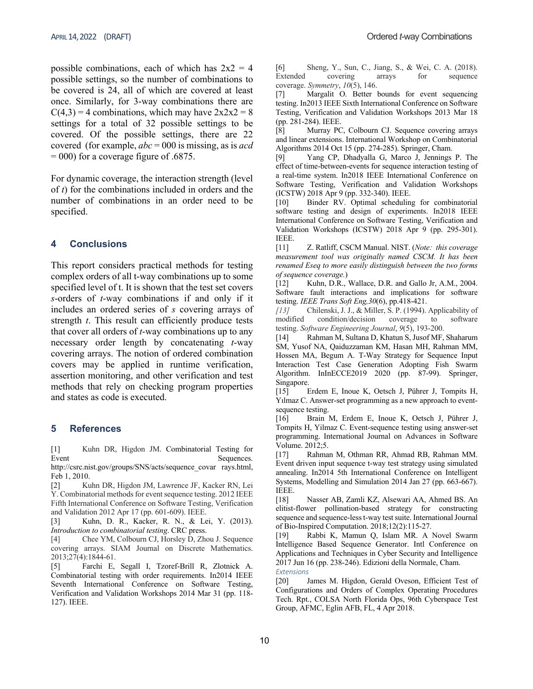possible combinations, each of which has  $2x^2 = 4$ possible settings, so the number of combinations to be covered is 24, all of which are covered at least once. Similarly, for 3-way combinations there are  $C(4,3) = 4$  combinations, which may have  $2x2x2 = 8$ settings for a total of 32 possible settings to be covered. Of the possible settings, there are 22 covered (for example, *abc* = 000 is missing, as is *acd*  $= 000$ ) for a coverage figure of .6875.

For dynamic coverage, the interaction strength (level of *t*) for the combinations included in orders and the number of combinations in an order need to be specified.

## **4 Conclusions**

This report considers practical methods for testing complex orders of all t-way combinations up to some specified level of t. It is shown that the test set covers *s*-orders of *t*-way combinations if and only if it includes an ordered series of *s* covering arrays of strength *t*. This result can efficiently produce tests that cover all orders of *t*-way combinations up to any necessary order length by concatenating *t*-way covering arrays. The notion of ordered combination covers may be applied in runtime verification, assertion monitoring, and other verification and test methods that rely on checking program properties and states as code is executed.

#### **5 References**

[1] Kuhn DR, Higdon JM. Combinatorial Testing for Event Sequences.

http://csrc.nist.gov/groups/SNS/acts/sequence\_covar rays.html, Feb 1, 2010.

[2] Kuhn DR, Higdon JM, Lawrence JF, Kacker RN, Lei Y. Combinatorial methods for event sequence testing. 2012 IEEE Fifth International Conference on Software Testing, Verification and Validation 2012 Apr 17 (pp. 601-609). IEEE.

[3] Kuhn, D. R., Kacker, R. N., & Lei, Y. (2013). *Introduction to combinatorial testing*. CRC press.

[4] Chee YM, Colbourn CJ, Horsley D, Zhou J. Sequence covering arrays. SIAM Journal on Discrete Mathematics. 2013;27(4):1844-61.

[5] Farchi E, Segall I, Tzoref-Brill R, Zlotnick A. Combinatorial testing with order requirements. In2014 IEEE Seventh International Conference on Software Testing, Verification and Validation Workshops 2014 Mar 31 (pp. 118- 127). IEEE.

[6] Sheng, Y., Sun, C., Jiang, S., & Wei, C. A. (2018). Extended covering arrays for sequence coverage. *Symmetry*, *10*(5), 146.

[7] Margalit O. Better bounds for event sequencing testing. In2013 IEEE Sixth International Conference on Software Testing, Verification and Validation Workshops 2013 Mar 18 (pp. 281-284). IEEE.

[8] Murray PC, Colbourn CJ. Sequence covering arrays and linear extensions. International Workshop on Combinatorial Algorithms 2014 Oct 15 (pp. 274-285). Springer, Cham.

[9] Yang CP, Dhadyalla G, Marco J, Jennings P. The effect of time-between-events for sequence interaction testing of a real-time system. In2018 IEEE International Conference on Software Testing, Verification and Validation Workshops (ICSTW) 2018 Apr 9 (pp. 332-340). IEEE.

[10] Binder RV. Optimal scheduling for combinatorial software testing and design of experiments. In2018 IEEE International Conference on Software Testing, Verification and Validation Workshops (ICSTW) 2018 Apr 9 (pp. 295-301). IEEE.

[11] Z. Ratliff, CSCM Manual. NIST. (*Note: this coverage measurement tool was originally named CSCM. It has been renamed Eseq to more easily distinguish between the two forms of sequence coverage.*)

[12] Kuhn, D.R., Wallace, D.R. and Gallo Jr, A.M., 2004. Software fault interactions and implications for software testing. *IEEE Trans Soft Eng,30*(6), pp.418-421.

*[13]* Chilenski, J. J., & Miller, S. P. (1994). Applicability of modified condition/decision coverage to software testing. *Software Engineering Journal*, *9*(5), 193-200.

[14] Rahman M, Sultana D, Khatun S, Jusof MF, Shaharum SM, Yusof NA, Qaiduzzaman KM, Hasan MH, Rahman MM, Hossen MA, Begum A. T-Way Strategy for Sequence Input Interaction Test Case Generation Adopting Fish Swarm Algorithm. InInECCE2019 2020 (pp. 87-99). Springer, Singapore.

[15] Erdem E, Inoue K, Oetsch J, Pührer J, Tompits H, Yılmaz C. Answer-set programming as a new approach to eventsequence testing.

[16] Brain M, Erdem E, Inoue K, Oetsch J, Pührer J, Tompits H, Yilmaz C. Event-sequence testing using answer-set programming. International Journal on Advances in Software Volume. 2012;5.

[17] Rahman M, Othman RR, Ahmad RB, Rahman MM. Event driven input sequence t-way test strategy using simulated annealing. In2014 5th International Conference on Intelligent Systems, Modelling and Simulation 2014 Jan 27 (pp. 663-667). IEEE.

[18] Nasser AB, Zamli KZ, Alsewari AA, Ahmed BS. An elitist-flower pollination-based strategy for constructing sequence and sequence-less t-way test suite. International Journal of Bio-Inspired Computation. 2018;12(2):115-27.

[19] Rabbi K, Mamun Q, Islam MR. A Novel Swarm Intelligence Based Sequence Generator. Intl Conference on Applications and Techniques in Cyber Security and Intelligence 2017 Jun 16 (pp. 238-246). Edizioni della Normale, Cham. *Extensions*

[20] James M. Higdon, Gerald Oveson, Efficient Test of Configurations and Orders of Complex Operating Procedures Tech. Rpt., COLSA North Florida Ops, 96th Cyberspace Test Group, AFMC, Eglin AFB, FL, 4 Apr 2018.